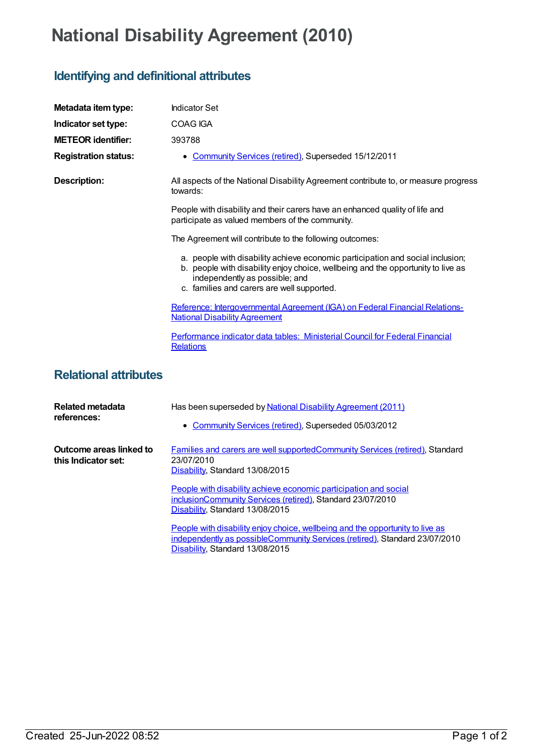## **National Disability Agreement (2010)**

## **Identifying and definitional attributes**

| Metadata item type:                            | <b>Indicator Set</b>                                                                                                                                                                                                                               |
|------------------------------------------------|----------------------------------------------------------------------------------------------------------------------------------------------------------------------------------------------------------------------------------------------------|
| Indicator set type:                            | <b>COAG IGA</b>                                                                                                                                                                                                                                    |
| <b>METEOR identifier:</b>                      | 393788                                                                                                                                                                                                                                             |
| <b>Registration status:</b>                    | • Community Services (retired), Superseded 15/12/2011                                                                                                                                                                                              |
| <b>Description:</b>                            | All aspects of the National Disability Agreement contribute to, or measure progress<br>towards:                                                                                                                                                    |
|                                                | People with disability and their carers have an enhanced quality of life and<br>participate as valued members of the community.                                                                                                                    |
|                                                | The Agreement will contribute to the following outcomes:                                                                                                                                                                                           |
|                                                | a. people with disability achieve economic participation and social inclusion;<br>b. people with disability enjoy choice, wellbeing and the opportunity to live as<br>independently as possible; and<br>c. families and carers are well supported. |
|                                                | Reference: Intergovernmental Agreement (IGA) on Federal Financial Relations-<br><b>National Disability Agreement</b>                                                                                                                               |
|                                                | Performance indicator data tables: Ministerial Council for Federal Financial<br><b>Relations</b>                                                                                                                                                   |
| <b>Relational attributes</b>                   |                                                                                                                                                                                                                                                    |
| Related metadata<br>references:                | Has been superseded by National Disability Agreement (2011)                                                                                                                                                                                        |
|                                                | • Community Services (retired), Superseded 05/03/2012                                                                                                                                                                                              |
| Outcome areas linked to<br>this Indicator set: | Families and carers are well supported Community Services (retired), Standard<br>23/07/2010<br>Disability, Standard 13/08/2015                                                                                                                     |
|                                                | People with disability achieve economic participation and social<br>inclusionCommunity Services (retired), Standard 23/07/2010<br>Disability, Standard 13/08/2015                                                                                  |
|                                                | People with disability enjoy choice, wellbeing and the opportunity to live as<br>independently as possibleCommunity Services (retired), Standard 23/07/2010<br>Disability, Standard 13/08/2015                                                     |